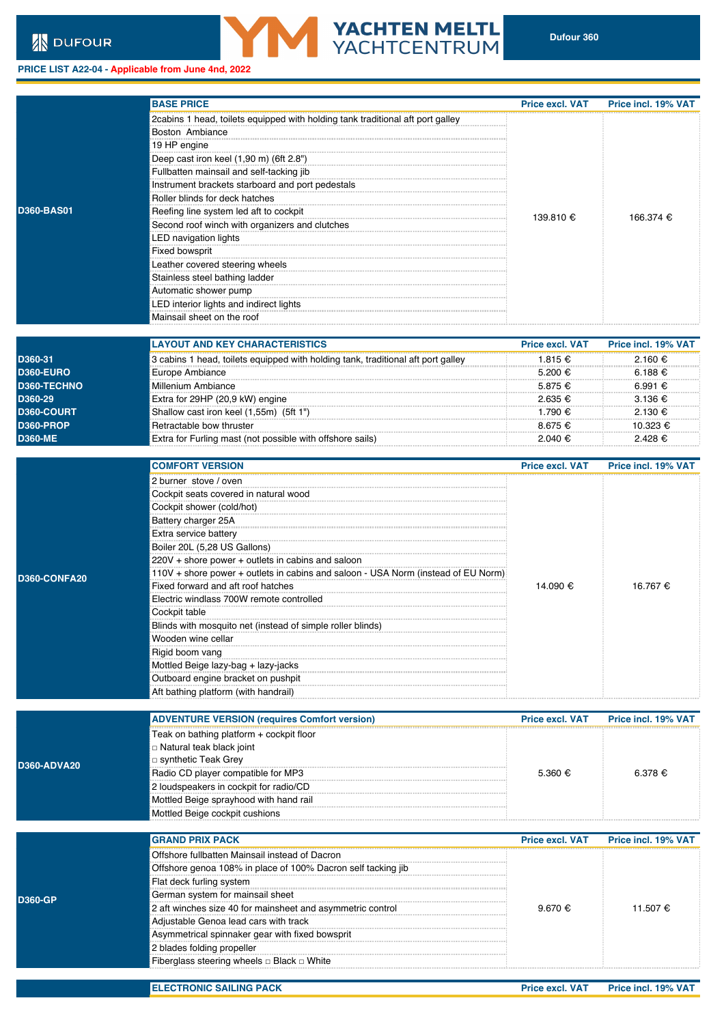**D360-ADVA20**

## **PRICE LIST A22-04 - Applicable from June 4nd, 2022**

|                   | <b>BASE PRICE</b>                                                              | <b>Price excl. VAT</b> | Price incl. 19% |
|-------------------|--------------------------------------------------------------------------------|------------------------|-----------------|
|                   | 2cabins 1 head, toilets equipped with holding tank traditional aft port galley |                        |                 |
|                   | Boston Ambiance                                                                |                        |                 |
|                   | 19 HP engine                                                                   |                        |                 |
|                   | Deep cast iron keel (1,90 m) (6ft 2.8")                                        |                        |                 |
|                   | Fullbatten mainsail and self-tacking jib                                       |                        |                 |
|                   | Instrument brackets starboard and port pedestals                               |                        |                 |
|                   | Roller blinds for deck hatches                                                 |                        |                 |
| <b>D360-BAS01</b> | Reefing line system led aft to cockpit                                         |                        | 166.374 €       |
|                   | Second roof winch with organizers and clutches                                 | 139.810 €              |                 |
|                   | LED navigation lights                                                          |                        |                 |
|                   | <b>Fixed bowsprit</b>                                                          |                        |                 |
|                   | Leather covered steering wheels                                                |                        |                 |
|                   | Stainless steel bathing ladder                                                 |                        |                 |
|                   | Automatic shower pump                                                          |                        |                 |
|                   | LED interior lights and indirect lights                                        |                        |                 |
|                   | Mainsail sheet on the roof                                                     |                        |                 |
|                   |                                                                                |                        |                 |

**YACHTEN MELTL**<br>YACHTCENTRUM

|                   | <b>LAYOUT AND KEY CHARACTERISTICS</b>                                            | <b>Price excl. VAT</b> | Price incl. 19% VAT |
|-------------------|----------------------------------------------------------------------------------|------------------------|---------------------|
| D360-31           | 3 cabins 1 head, toilets equipped with holding tank, traditional aft port galley | 1.815 €                | $2.160 \text{ }€$   |
| D360-EURO         | Europe Ambiance                                                                  | 5 200 €                | 6.188 €             |
| D360-TECHNO       | Millenium Ambiance                                                               | 5.875 €                | 6.991 €             |
| D360-29           | Extra for 29HP (20,9 kW) engine                                                  | 2 635 €                | $3.136 \text{ }€$   |
| <b>D360-COURT</b> | Shallow cast iron keel (1,55m) (5ft 1")                                          | 1 790 €                | 2 130 €             |
| <b>D360-PROP</b>  | Retractable bow thruster                                                         | $8.675 \notin$         | 10.323 €            |
| <b>D360-ME</b>    | Extra for Furling mast (not possible with offshore sails)                        | 2 040 €                | $2.428 \notin$      |

|              | <b>COMFORT VERSION</b>                                                            | <b>Price excl. VAT</b> | Price incl. 19% |
|--------------|-----------------------------------------------------------------------------------|------------------------|-----------------|
|              | 2 burner stove / oven                                                             |                        |                 |
|              | Cockpit seats covered in natural wood                                             |                        |                 |
|              | Cockpit shower (cold/hot)                                                         |                        |                 |
|              | Battery charger 25A                                                               |                        |                 |
|              | Extra service battery                                                             |                        |                 |
|              | Boiler 20L (5,28 US Gallons)                                                      |                        |                 |
|              | 220V + shore power + outlets in cabins and saloon                                 |                        |                 |
| D360-CONFA20 | 110V + shore power + outlets in cabins and saloon - USA Norm (instead of EU Norm) |                        |                 |
|              | Fixed forward and aft roof hatches                                                | 14.090 €               | 16.767 €        |
|              | Electric windlass 700W remote controlled                                          |                        |                 |
|              | Cockpit table                                                                     |                        |                 |
|              | Blinds with mosquito net (instead of simple roller blinds)                        |                        |                 |
|              | Wooden wine cellar                                                                |                        |                 |
|              | Rigid boom vang                                                                   |                        |                 |
|              | Mottled Beige lazy-bag + lazy-jacks                                               |                        |                 |
|              | Outboard engine bracket on pushpit                                                |                        |                 |
|              | Aft bathing platform (with handrail)                                              |                        |                 |

|                   | <b>ADVENTURE VERSION (requires Comfort version)</b> | <b>Price excl. VAT</b> | <b>Price incl. 19% VAT</b> |
|-------------------|-----------------------------------------------------|------------------------|----------------------------|
|                   | Teak on bathing platform + cockpit floor            |                        |                            |
|                   | □ Natural teak black joint                          |                        |                            |
| <b>360-ADVA20</b> | □ synthetic Teak Grey                               |                        |                            |
|                   | Radio CD player compatible for MP3                  | 5.360 €                | 6.378 €                    |
|                   | 2 loudspeakers in cockpit for radio/CD              |                        |                            |
|                   | Mottled Beige sprayhood with hand rail              |                        |                            |
|                   | Mottled Beige cockpit cushions                      |                        |                            |

|  | <b>GRAND PRIX PACK</b>                                       | <b>Price excl. VAT</b> | <b>Price incl. 19% VAT</b> |
|--|--------------------------------------------------------------|------------------------|----------------------------|
|  | Offshore fullbatten Mainsail instead of Dacron               |                        | 11.507€                    |
|  | Offshore genoa 108% in place of 100% Dacron self tacking jib |                        |                            |
|  | Flat deck furling system                                     |                        |                            |
|  | German system for mainsail sheet                             |                        |                            |
|  | 2 aft winches size 40 for mainsheet and asymmetric control   | 9.670 €                |                            |
|  | Adjustable Genoa lead cars with track                        |                        |                            |
|  | Asymmetrical spinnaker gear with fixed bowsprit              |                        |                            |
|  | 2 blades folding propeller                                   |                        |                            |
|  | Fiberglass steering wheels $\Box$ Black $\Box$ White         |                        |                            |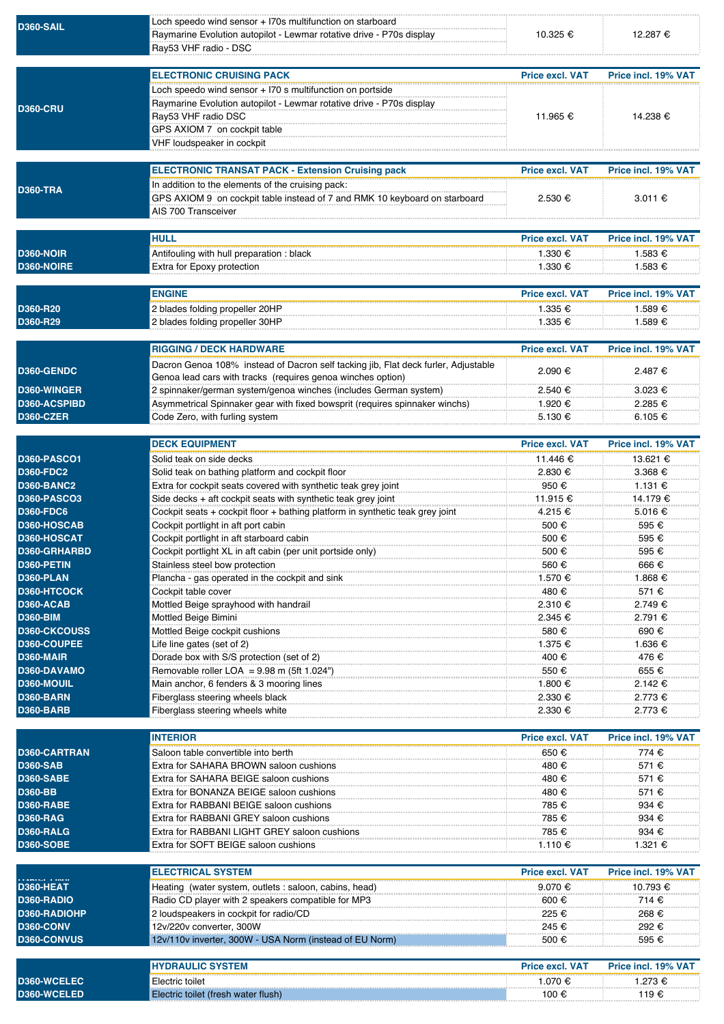| <b>D360-SAIL</b>                        | Loch speedo wind sensor + I70s multifunction on starboard<br>Raymarine Evolution autopilot - Lewmar rotative drive - P70s display<br>Ray53 VHF radio - DSC                                                             | 10.325 €                           | 12.287 €                        |
|-----------------------------------------|------------------------------------------------------------------------------------------------------------------------------------------------------------------------------------------------------------------------|------------------------------------|---------------------------------|
|                                         | <b>ELECTRONIC CRUISING PACK</b>                                                                                                                                                                                        |                                    |                                 |
| <b>D360-CRU</b>                         | Loch speedo wind sensor + I70 s multifunction on portside<br>Raymarine Evolution autopilot - Lewmar rotative drive - P70s display<br>Ray53 VHF radio DSC<br>GPS AXIOM 7 on cockpit table<br>VHF loudspeaker in cockpit | <b>Price excl. VAT</b><br>11.965 € | Price incl. 19% VAT<br>14.238 € |
|                                         | <b>ELECTRONIC TRANSAT PACK - Extension Cruising pack</b>                                                                                                                                                               | <b>Price excl. VAT</b>             | Price incl. 19% VAT             |
| <b>D360-TRA</b>                         | In addition to the elements of the cruising pack:<br>GPS AXIOM 9 on cockpit table instead of 7 and RMK 10 keyboard on starboard<br>AIS 700 Transceiver                                                                 | 2.530 €                            | 3.011 €                         |
|                                         | <b>HULL</b>                                                                                                                                                                                                            | <b>Price excl. VAT</b>             | Price incl. 19% VAT             |
| <b>D360-NOIR</b>                        | Antifouling with hull preparation : black                                                                                                                                                                              | 1.330 €                            | 1.583 €                         |
| D360-NOIRE                              | Extra for Epoxy protection                                                                                                                                                                                             | 1.330 €                            | 1.583 €                         |
|                                         | <b>ENGINE</b>                                                                                                                                                                                                          | <b>Price excl. VAT</b>             | Price incl. 19% VAT             |
| D360-R20                                | 2 blades folding propeller 20HP                                                                                                                                                                                        | 1.335 €                            | 1.589€                          |
| D360-R29                                | 2 blades folding propeller 30HP                                                                                                                                                                                        | 1.335 €                            | 1.589 €                         |
|                                         | <b>RIGGING / DECK HARDWARE</b>                                                                                                                                                                                         | <b>Price excl. VAT</b>             | Price incl. 19% VAT             |
| D360-GENDC                              | Dacron Genoa 108% instead of Dacron self tacking jib, Flat deck furler, Adjustable                                                                                                                                     | 2.090 €                            | 2.487€                          |
|                                         | Genoa lead cars with tracks (requires genoa winches option)                                                                                                                                                            |                                    |                                 |
| D360-WINGER<br>D360-ACSPIBD             | 2 spinnaker/german system/genoa winches (includes German system)<br>Asymmetrical Spinnaker gear with fixed bowsprit (requires spinnaker winchs)                                                                        | 2.540 €<br>1.920 €                 | 3.023 €<br>2.285 €              |
| <b>D360-CZER</b>                        | Code Zero, with furling system                                                                                                                                                                                         | 5.130 €                            | 6.105€                          |
|                                         |                                                                                                                                                                                                                        |                                    |                                 |
|                                         | <b>DECK EQUIPMENT</b>                                                                                                                                                                                                  | <b>Price excl. VAT</b>             | Price incl. 19% VAT             |
| <b>D360-PASCO1</b>                      | Solid teak on side decks                                                                                                                                                                                               | 11.446 €                           | 13.621 €                        |
| <b>D360-FDC2</b>                        | Solid teak on bathing platform and cockpit floor                                                                                                                                                                       | $2.830 \in$                        | 3.368 €                         |
| <b>D360-BANC2</b><br><b>D360-PASCO3</b> | Extra for cockpit seats covered with synthetic teak grey joint                                                                                                                                                         | 950 €                              | 1.131 €                         |
| <b>D360-FDC6</b>                        | Side decks $+$ aft cockpit seats with synthetic teak grey joint<br>Cockpit seats + cockpit floor + bathing platform in synthetic teak grey joint                                                                       | 11.915 €<br>4.215 €                | 14.179 €<br>5.016 €             |
| D360-HOSCAB                             | Cockpit portlight in aft port cabin                                                                                                                                                                                    | 500€                               | 595 €                           |
| D360-HOSCAT                             | Cockpit portlight in aft starboard cabin                                                                                                                                                                               | 500 €                              | 595€                            |
| D360-GRHARBD                            | Cockpit portlight XL in aft cabin (per unit portside only)                                                                                                                                                             | 500 €                              | 595€                            |
| D360-PETIN                              | Stainless steel bow protection                                                                                                                                                                                         | 560€                               | 666€                            |
| D360-PLAN<br>D360-HTCOCK                | Plancha - gas operated in the cockpit and sink                                                                                                                                                                         | 1.570 €                            | 1.868 €                         |
| <b>D360-ACAB</b>                        | Cockpit table cover<br>Mottled Beige sprayhood with handrail                                                                                                                                                           | 480 €<br>2.310 €                   | 571 €<br>2.749€                 |
| <b>D360-BIM</b>                         | Mottled Beige Bimini                                                                                                                                                                                                   | 2.345 €                            | 2.791 €                         |
| <b>D360-CKCOUSS</b>                     | Mottled Beige cockpit cushions                                                                                                                                                                                         | 580€                               | 690€                            |
| D360-COUPEE                             | Life line gates (set of 2)                                                                                                                                                                                             | 1.375 €                            | 1.636 €                         |
| D360-MAIR                               | Dorade box with S/S protection (set of 2)                                                                                                                                                                              | 400 €                              | 476€                            |
| D360-DAVAMO<br>D360-MOUIL               | Removable roller LOA = $9.98$ m (5ft 1.024")                                                                                                                                                                           | 550€                               | 655€                            |
| <b>D360-BARN</b>                        | Main anchor, 6 fenders & 3 mooring lines<br>Fiberglass steering wheels black                                                                                                                                           | 1.800 €<br>2.330 €                 | 2.142 €<br>2.773 €              |
| D360-BARB                               | Fiberglass steering wheels white                                                                                                                                                                                       | 2.330 €                            | 2.773 €                         |
|                                         |                                                                                                                                                                                                                        |                                    |                                 |
|                                         | <b>INTERIOR</b>                                                                                                                                                                                                        | <b>Price excl. VAT</b>             | Price incl. 19% VAT             |
| D360-CARTRAN                            | Saloon table convertible into berth                                                                                                                                                                                    | 650€                               | 774€                            |
| <b>D360-SAB</b><br><b>D360-SABE</b>     | Extra for SAHARA BROWN saloon cushions<br>Extra for SAHARA BEIGE saloon cushions                                                                                                                                       | 480€<br>480€                       | 571 €<br>571 €                  |
| D360-BB                                 | Extra for BONANZA BEIGE saloon cushions                                                                                                                                                                                | 480€                               | 571 €                           |
| <b>D360-RABE</b>                        | Extra for RABBANI BEIGE saloon cushions                                                                                                                                                                                | 785 €                              | 934 €                           |
| <b>D360-RAG</b>                         | Extra for RABBANI GREY saloon cushions                                                                                                                                                                                 | 785 €                              | 934 €                           |
| D360-RALG                               | Extra for RABBANI LIGHT GREY saloon cushions                                                                                                                                                                           | 785€                               | 934 €                           |
| <b>D360-SOBE</b>                        | Extra for SOFT BEIGE saloon cushions                                                                                                                                                                                   | 1.110 €                            | 1.321 €                         |
|                                         | <b>ELECTRICAL SYSTEM</b>                                                                                                                                                                                               | <b>Price excl. VAT</b>             | Price incl. 19% VAT             |
| D360-HEAT                               | Heating (water system, outlets : saloon, cabins, head)                                                                                                                                                                 | 9.070 €                            | 10.793 €                        |
| D360-RADIO                              | Radio CD player with 2 speakers compatible for MP3                                                                                                                                                                     | 600 €                              | 714 €                           |
| D360-RADIOHP<br>D360-CONV               | 2 loudspeakers in cockpit for radio/CD                                                                                                                                                                                 | 225 €                              | 268 €<br>292€                   |
|                                         |                                                                                                                                                                                                                        |                                    |                                 |
| D360-CONVUS                             | 12v/220v converter, 300W<br>12v/110v inverter, 300W - USA Norm (instead of EU Norm)                                                                                                                                    | 245€<br>500 €                      | 595 €                           |
|                                         |                                                                                                                                                                                                                        |                                    |                                 |
| D360-WCELEC                             | <b>HYDRAULIC SYSTEM</b><br>Electric toilet                                                                                                                                                                             | <b>Price excl. VAT</b><br>1.070 €  | Price incl. 19% VAT<br>1.273 €  |